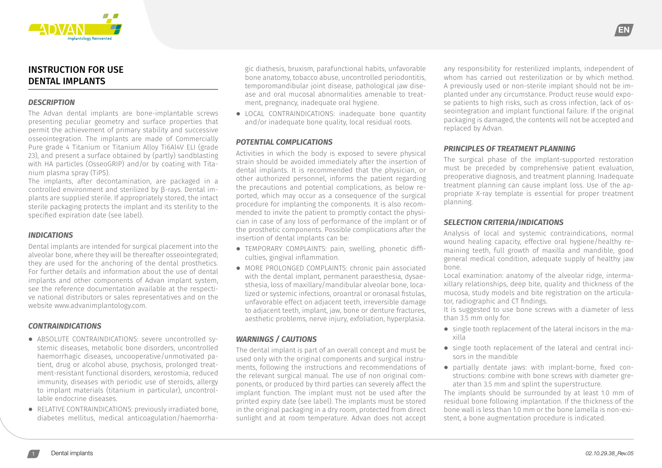

# INSTRUCTION FOR USE DENTAL IMPLANTS

#### *DESCRIPTION*

The Advan dental implants are bone-implantable screws presenting peculiar geometry and surface properties that permit the achievement of primary stability and successive osseointegration. The implants are made of Commercially Pure grade 4 Titanium or Titanium Alloy Ti6Al4V ELI (grade 23), and present a surface obtained by (partly) sandblasting with HA particles (OsseoGRIP) and/or by coating with Titanium plasma spray (TiPS).

The implants, after decontamination, are packaged in a controlled environment and sterilized by β-rays. Dental implants are supplied sterile. If appropriately stored, the intact sterile packaging protects the implant and its sterility to the specified expiration date (see label).

# *INDICATIONS*

Dental implants are intended for surgical placement into the alveolar bone, where they will be thereafter osseointegrated; they are used for the anchoring of the dental prosthetics. For further details and information about the use of dental implants and other components of Advan implant system, see the reference documentation available at the respective national distributors or sales representatives and on the website www.advanimplantology.com.

# *CONTRAINDICATIONS*

- **⦁** ABSOLUTE CONTRAINDICATIONS: severe uncontrolled systemic diseases, metabolic bone disorders, uncontrolled haemorrhagic diseases, uncooperative/unmotivated patient, drug or alcohol abuse, psychosis, prolonged treatment-resistant functional disorders, xerostomia, reduced immunity, diseases with periodic use of steroids, allergy to implant materials (titanium in particular), uncontrollable endocrine diseases.
- **⦁** RELATIVE CONTRAINDICATIONS: previously irradiated bone, diabetes mellitus, medical anticoagulation/haemorrha-

gic diathesis, bruxism, parafunctional habits, unfavorable bone anatomy, tobacco abuse, uncontrolled periodontitis, temporomandibular joint disease, pathological jaw disease and oral mucosal abnormalities amenable to treatment, pregnancy, inadequate oral hygiene.

**⦁** LOCAL CONTRAINDICATIONS: inadequate bone quantity and/or inadequate bone quality, local residual roots.

#### *POTENTIAL COMPLICATIONS*

Activities in which the body is exposed to severe physical strain should be avoided immediately after the insertion of dental implants. It is recommended that the physician, or other authorized personnel, informs the patient regarding the precautions and potential complications, as below reported, which may occur as a consequence of the surgical procedure for implanting the components. It is also recommended to invite the patient to promptly contact the physician in case of any loss of performance of the implant or of the prosthetic components. Possible complications after the insertion of dental implants can be:

- **⦁** TEMPORARY COMPLAINTS: pain, swelling, phonetic difficulties, gingival inflammation.
- **⦁** MORE PROLONGED COMPLAINTS: chronic pain associated with the dental implant, permanent paraesthesia, dysaesthesia, loss of maxillary/mandibular alveolar bone, localized or systemic infections, oroantral or oronasal fistulas, unfavorable effect on adjacent teeth, irreversible damage to adjacent teeth, implant, jaw, bone or denture fractures, aesthetic problems, nerve injury, exfoliation, hyperplasia.

# *WARNINGS / CAUTIONS*

The dental implant is part of an overall concept and must be used only with the original components and surgical instruments, following the instructions and recommendations of the relevant surgical manual. The use of non original components, or produced by third parties can severely affect the implant function. The implant must not be used after the printed expiry date (see label). The implants must be stored in the original packaging in a dry room, protected from direct sunlight and at room temperature. Advan does not accept

any responsibility for resterilized implants, independent of whom has carried out resterilization or by which method. A previously used or non-sterile implant should not be implanted under any circumstance. Product reuse would expose patients to high risks, such as cross infection, lack of osseointegration and implant functional failure. If the original packaging is damaged, the contents will not be accepted and replaced by Advan.

EN

#### *PRINCIPLES OF TREATMENT PLANNING*

The surgical phase of the implant-supported restoration must be preceded by comprehensive patient evaluation, preoperative diagnosis, and treatment planning. Inadequate treatment planning can cause implant loss. Use of the appropriate X-ray template is essential for proper treatment planning.

# *SELECTION CRITERIA/INDICATIONS*

Analysis of local and systemic contraindications, normal wound healing capacity, effective oral hygiene/healthy remaining teeth, full growth of maxilla and mandible, good general medical condition, adequate supply of healthy jaw bone.

Local examination: anatomy of the alveolar ridge, intermaxillary relationships, deep bite, quality and thickness of the mucosa, study models and bite registration on the articulator, radiographic and CT findings.

It is suggested to use bone screws with a diameter of less than 3.5 mm only for:

- **⦁** single tooth replacement of the lateral incisors in the maxilla
- **⦁** single tooth replacement of the lateral and central incisors in the mandible
- **⦁** partially dentate jaws: with implant-borne, fixed constructions: combine with bone screws with diameter greater than 3.5 mm and splint the superstructure.

The implants should be surrounded by at least 1.0 mm of residual bone following implantation. If the thickness of the bone wall is less than 1.0 mm or the bone lamella is non-existent, a bone augmentation procedure is indicated.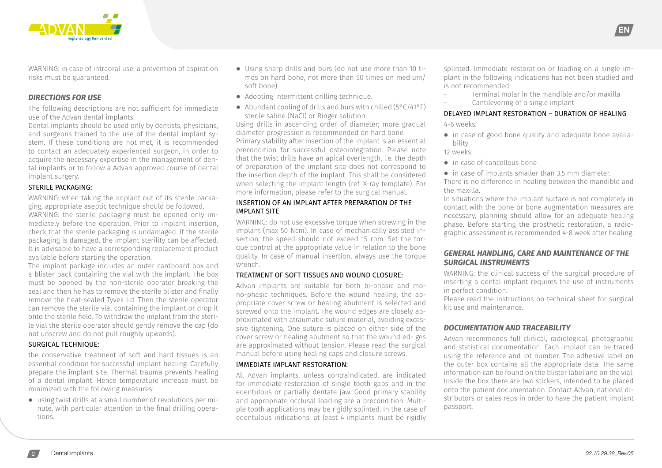

WARNING: in case of intraoral use, a prevention of aspiration risks must be guaranteed.

# *DIRECTIONS FOR USE*

The following descriptions are not sufficient for immediate use of the Advan dental implants.

Dental implants should be used only by dentists, physicians, and surgeons trained to the use of the dental implant system. If these conditions are not met, it is recommended to contact an adequately experienced surgeon, in order to acquire the necessary expertise in the management of dental implants or to follow a Advan approved course of dental implant surgery.

#### STERILE PACKAGING:

WARNING: when taking the implant out of its sterile packaging, appropriate aseptic technique should be followed. WARNING: the sterile packaging must be opened only immediately before the operation. Prior to implant insertion, check that the sterile packaging is undamaged. If the sterile packaging is damaged, the implant sterility can be affected. It is advisable to have a corresponding replacement product available before starting the operation.

The implant package includes an outer cardboard box and a blister pack containing the vial with the implant. The box must be opened by the non-sterile operator breaking the seal and then he has to remove the sterile blister and finally remove the heat-sealed Tyvek lid. Then the sterile operator can remove the sterile vial containing the implant or drop it onto the sterile field. To withdraw the implant from the sterile vial the sterile operator should gently remove the cap (do not unscrew and do not pull roughly upwards).

# SURGICAL TECHNIQUE:

the conservative treatment of soft and hard tissues is an essential condition for successful implant healing. Carefully prepare the implant site. Thermal trauma prevents healing of a dental implant. Hence temperature increase must be minimized with the following measures:

**⦁** using twist drills at a small number of revolutions per minute, with particular attention to the final drilling operations.

- **⦁** Using sharp drills and burs (do not use more than 10 times on hard bone, not more than 50 times on medium/ soft bone).
- **⦁** Adopting intermittent drilling technique.
- **⦁** Abundant cooling of drills and burs with chilled (5°C/41°F) sterile saline (NaCl) or Ringer solution.

Using drills in ascending order of diameter; more gradual diameter progression is recommended on hard bone. Primary stability after insertion of the implant is an essential precondition for successful osteointegration. Please note that the twist drills have an apical overlength, i.e. the depth of preparation of the implant site does not correspond to the insertion depth of the implant. This shall be considered when selecting the implant length (ref. X-ray template). For more information, please refer to the surgical manual.

#### INSERTION OF AN IMPLANT AFTER PREPARATION OF THE IMPLANT SITE

WARNING: do not use excessive torque when screwing in the implant (max 50 Ncm). In case of mechanically assisted insertion, the speed should not exceed 15 rpm. Set the torque control at the appropriate value in relation to the bone quality. In case of manual insertion, always use the torque wrench.

#### TREATMENT OF SOFT TISSUES AND WOUND CLOSURE:

Advan implants are suitable for both bi-phasic and mono-phasic techniques. Before the wound healing, the appropriate cover screw or healing abutment is selected and screwed onto the implant. The wound edges are closely approximated with atraumatic suture material, avoiding excessive tightening. One suture is placed on either side of the cover screw or healing abutment so that the wound ed- ges are approximated without tension. Please read the surgical manual before using healing caps and closure screws.

#### IMMEDIATE IMPLANT RESTORATION:

All Advan implants, unless contraindicated, are indicated for immediate restoration of single tooth gaps and in the edentulous or partially dentate jaw. Good primary stability and appropriate occlusal loading are a precondition. Multiple tooth applications may be rigidly splinted. In the case of edentulous indications, at least 4 implants must be rigidly splinted. Immediate restoration or loading on a single implant in the following indications has not been studied and is not recommended:

EN

- Terminal molar in the mandible and/or maxilla
- Cantilevering of a single implant

# DELAYED IMPLANT RESTORATION – DURATION OF HEALING

4-6 weeks:

**⦁** in case of good bone quality and adequate bone availability

# 12 weeks:

- **⦁** in case of cancellous bone
- **⦁** in case of implants smaller than 3.5 mm diameter.

There is no difference in healing between the mandible and the maxilla.

In situations where the implant surface is not completely in contact with the bone or bone augmentation measures are necessary, planning should allow for an adequate healing phase. Before starting the prosthetic restoration, a radiographic assessment is recommended 4-8 week after healing.

# *GENERAL HANDLING, CARE AND MAINTENANCE OF THE SURGICAL INSTRUMENTS*

WARNING: the clinical success of the surgical procedure of inserting a dental implant requires the use of instruments in perfect condition.

Please read the instructions on technical sheet for surgical kit use and maintenance.

# *DOCUMENTATION AND TRACEABILITY*

Advan recommends full clinical, radiological, photographic and statistical documentation. Each implant can be traced using the reference and lot number. The adhesive label on the outer box contains all the appropriate data. The same information can be found on the blister label and on the vial. Inside the box there are two stickers, intended to be placed onto the patient documentation. Contact Advan, national distributors or sales reps in order to have the patient implant passport.